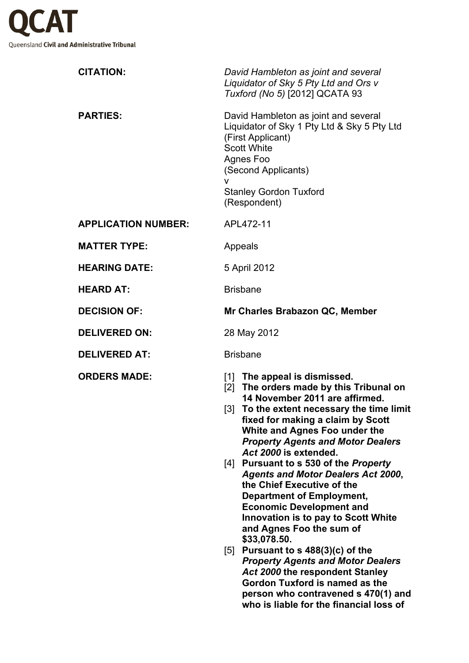

| <b>CITATION:</b>           | David Hambleton as joint and several<br>Liquidator of Sky 5 Pty Ltd and Ors v<br>Tuxford (No 5) [2012] QCATA 93                                                                                                                                                                                                                                                                                                                                                                                                                                                                                                                                                                                                                                                                                |
|----------------------------|------------------------------------------------------------------------------------------------------------------------------------------------------------------------------------------------------------------------------------------------------------------------------------------------------------------------------------------------------------------------------------------------------------------------------------------------------------------------------------------------------------------------------------------------------------------------------------------------------------------------------------------------------------------------------------------------------------------------------------------------------------------------------------------------|
| <b>PARTIES:</b>            | David Hambleton as joint and several<br>Liquidator of Sky 1 Pty Ltd & Sky 5 Pty Ltd<br>(First Applicant)<br><b>Scott White</b><br>Agnes Foo<br>(Second Applicants)<br>v<br><b>Stanley Gordon Tuxford</b><br>(Respondent)                                                                                                                                                                                                                                                                                                                                                                                                                                                                                                                                                                       |
| <b>APPLICATION NUMBER:</b> | APL472-11                                                                                                                                                                                                                                                                                                                                                                                                                                                                                                                                                                                                                                                                                                                                                                                      |
| <b>MATTER TYPE:</b>        | Appeals                                                                                                                                                                                                                                                                                                                                                                                                                                                                                                                                                                                                                                                                                                                                                                                        |
| <b>HEARING DATE:</b>       | 5 April 2012                                                                                                                                                                                                                                                                                                                                                                                                                                                                                                                                                                                                                                                                                                                                                                                   |
| <b>HEARD AT:</b>           | <b>Brisbane</b>                                                                                                                                                                                                                                                                                                                                                                                                                                                                                                                                                                                                                                                                                                                                                                                |
| <b>DECISION OF:</b>        | Mr Charles Brabazon QC, Member                                                                                                                                                                                                                                                                                                                                                                                                                                                                                                                                                                                                                                                                                                                                                                 |
| <b>DELIVERED ON:</b>       | 28 May 2012                                                                                                                                                                                                                                                                                                                                                                                                                                                                                                                                                                                                                                                                                                                                                                                    |
| <b>DELIVERED AT:</b>       | <b>Brisbane</b>                                                                                                                                                                                                                                                                                                                                                                                                                                                                                                                                                                                                                                                                                                                                                                                |
| <b>ORDERS MADE:</b>        | [1] The appeal is dismissed.<br>[2] The orders made by this Tribunal on<br>14 November 2011 are affirmed.<br>[3] To the extent necessary the time limit<br>fixed for making a claim by Scott<br>White and Agnes Foo under the<br><b>Property Agents and Motor Dealers</b><br>Act 2000 is extended.<br>[4] Pursuant to s 530 of the <i>Property</i><br><b>Agents and Motor Dealers Act 2000,</b><br>the Chief Executive of the<br><b>Department of Employment,</b><br><b>Economic Development and</b><br><b>Innovation is to pay to Scott White</b><br>and Agnes Foo the sum of<br>\$33,078.50.<br>[5] Pursuant to s $488(3)(c)$ of the<br><b>Property Agents and Motor Dealers</b><br>Act 2000 the respondent Stanley<br>Gordon Tuxford is named as the<br>person who contravened s 470(1) and |

**who is liable for the financial loss of**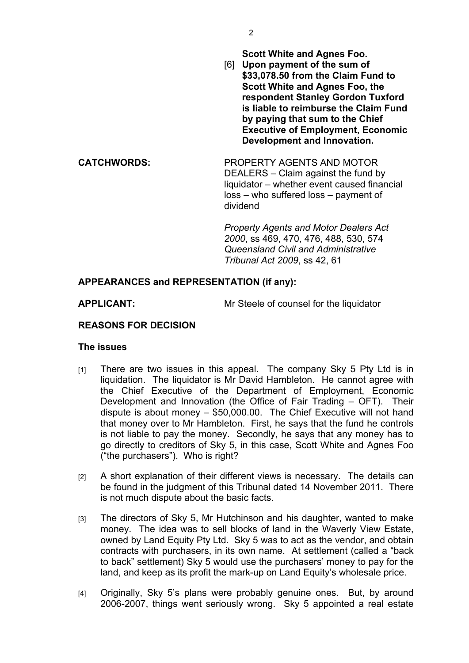**Scott White and Agnes Foo.**

[6] **Upon payment of the sum of \$33,078.50 from the Claim Fund to Scott White and Agnes Foo, the respondent Stanley Gordon Tuxford is liable to reimburse the Claim Fund by paying that sum to the Chief Executive of Employment, Economic Development and Innovation.**

**CATCHWORDS:** PROPERTY AGENTS AND MOTOR DEALERS – Claim against the fund by liquidator – whether event caused financial loss – who suffered loss – payment of dividend

> *Property Agents and Motor Dealers Act 2000*, ss 469, 470, 476, 488, 530, 574 *Queensland Civil and Administrative Tribunal Act 2009*, ss 42, 61

## **APPEARANCES and REPRESENTATION (if any):**

**APPLICANT:** Mr Steele of counsel for the liquidator

## **REASONS FOR DECISION**

## **The issues**

- [1] There are two issues in this appeal. The company Sky 5 Pty Ltd is in liquidation. The liquidator is Mr David Hambleton. He cannot agree with the Chief Executive of the Department of Employment, Economic Development and Innovation (the Office of Fair Trading – OFT). Their dispute is about money – \$50,000.00. The Chief Executive will not hand that money over to Mr Hambleton. First, he says that the fund he controls is not liable to pay the money. Secondly, he says that any money has to go directly to creditors of Sky 5, in this case, Scott White and Agnes Foo ("the purchasers"). Who is right?
- [2] A short explanation of their different views is necessary. The details can be found in the judgment of this Tribunal dated 14 November 2011. There is not much dispute about the basic facts.
- [3] The directors of Sky 5, Mr Hutchinson and his daughter, wanted to make money. The idea was to sell blocks of land in the Waverly View Estate, owned by Land Equity Pty Ltd. Sky 5 was to act as the vendor, and obtain contracts with purchasers, in its own name. At settlement (called a "back to back" settlement) Sky 5 would use the purchasers' money to pay for the land, and keep as its profit the mark-up on Land Equity's wholesale price.
- [4] Originally, Sky 5's plans were probably genuine ones. But, by around 2006-2007, things went seriously wrong. Sky 5 appointed a real estate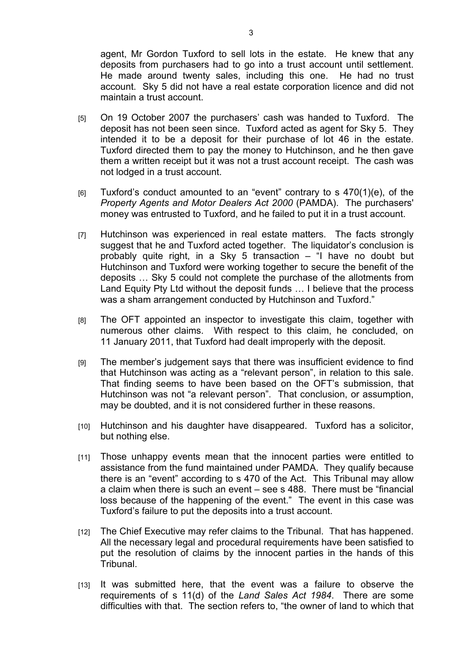agent, Mr Gordon Tuxford to sell lots in the estate. He knew that any deposits from purchasers had to go into a trust account until settlement. He made around twenty sales, including this one. He had no trust account. Sky 5 did not have a real estate corporation licence and did not maintain a trust account.

- [5] On 19 October 2007 the purchasers' cash was handed to Tuxford. The deposit has not been seen since. Tuxford acted as agent for Sky 5. They intended it to be a deposit for their purchase of lot 46 in the estate. Tuxford directed them to pay the money to Hutchinson, and he then gave them a written receipt but it was not a trust account receipt. The cash was not lodged in a trust account.
- $[6]$  Tuxford's conduct amounted to an "event" contrary to s  $470(1)(e)$ , of the *Property Agents and Motor Dealers Act 2000* (PAMDA). The purchasers' money was entrusted to Tuxford, and he failed to put it in a trust account.
- [7] Hutchinson was experienced in real estate matters. The facts strongly suggest that he and Tuxford acted together. The liquidator's conclusion is probably quite right, in a Sky 5 transaction – "I have no doubt but Hutchinson and Tuxford were working together to secure the benefit of the deposits … Sky 5 could not complete the purchase of the allotments from Land Equity Pty Ltd without the deposit funds ... I believe that the process was a sham arrangement conducted by Hutchinson and Tuxford."
- [8] The OFT appointed an inspector to investigate this claim, together with numerous other claims. With respect to this claim, he concluded, on 11 January 2011, that Tuxford had dealt improperly with the deposit.
- [9] The member's judgement says that there was insufficient evidence to find that Hutchinson was acting as a "relevant person", in relation to this sale. That finding seems to have been based on the OFT's submission, that Hutchinson was not "a relevant person". That conclusion, or assumption, may be doubted, and it is not considered further in these reasons.
- [10] Hutchinson and his daughter have disappeared. Tuxford has a solicitor, but nothing else.
- [11] Those unhappy events mean that the innocent parties were entitled to assistance from the fund maintained under PAMDA. They qualify because there is an "event" according to s 470 of the Act. This Tribunal may allow a claim when there is such an event – see s 488. There must be "financial loss because of the happening of the event." The event in this case was Tuxford's failure to put the deposits into a trust account.
- [12] The Chief Executive may refer claims to the Tribunal. That has happened. All the necessary legal and procedural requirements have been satisfied to put the resolution of claims by the innocent parties in the hands of this Tribunal.
- [13] It was submitted here, that the event was a failure to observe the requirements of s 11(d) of the *Land Sales Act 1984*. There are some difficulties with that. The section refers to, "the owner of land to which that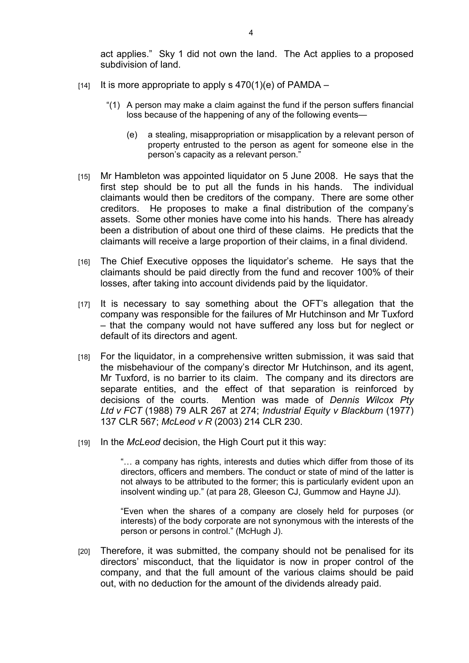act applies." Sky 1 did not own the land. The Act applies to a proposed subdivision of land.

- $[14]$  It is more appropriate to apply s  $470(1)(e)$  of PAMDA
	- "(1) A person may make a claim against the fund if the person suffers financial loss because of the happening of any of the following events—
		- (e) a stealing, misappropriation or misapplication by a relevant person of property entrusted to the person as agent for someone else in the person's capacity as a relevant person."
- [15] Mr Hambleton was appointed liquidator on 5 June 2008. He says that the first step should be to put all the funds in his hands. The individual claimants would then be creditors of the company. There are some other creditors. He proposes to make a final distribution of the company's assets. Some other monies have come into his hands. There has already been a distribution of about one third of these claims. He predicts that the claimants will receive a large proportion of their claims, in a final dividend.
- [16] The Chief Executive opposes the liquidator's scheme. He says that the claimants should be paid directly from the fund and recover 100% of their losses, after taking into account dividends paid by the liquidator.
- [17] It is necessary to say something about the OFT's allegation that the company was responsible for the failures of Mr Hutchinson and Mr Tuxford – that the company would not have suffered any loss but for neglect or default of its directors and agent.
- [18] For the liquidator, in a comprehensive written submission, it was said that the misbehaviour of the company's director Mr Hutchinson, and its agent, Mr Tuxford, is no barrier to its claim. The company and its directors are separate entities, and the effect of that separation is reinforced by decisions of the courts. Mention was made of *Dennis Wilcox Pty Ltd v FCT* (1988) 79 ALR 267 at 274; *Industrial Equity v Blackburn* (1977) 137 CLR 567; *McLeod v R* (2003) 214 CLR 230.
- [19] In the *McLeod* decision, the High Court put it this way:

"… a company has rights, interests and duties which differ from those of its directors, officers and members. The conduct or state of mind of the latter is not always to be attributed to the former; this is particularly evident upon an insolvent winding up." (at para 28, Gleeson CJ, Gummow and Hayne JJ).

"Even when the shares of a company are closely held for purposes (or interests) of the body corporate are not synonymous with the interests of the person or persons in control." (McHugh J).

[20] Therefore, it was submitted, the company should not be penalised for its directors' misconduct, that the liquidator is now in proper control of the company, and that the full amount of the various claims should be paid out, with no deduction for the amount of the dividends already paid.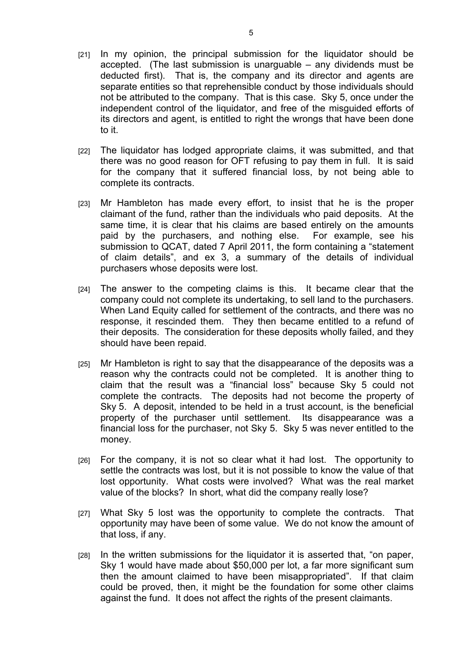- [21] In my opinion, the principal submission for the liquidator should be accepted. (The last submission is unarguable – any dividends must be deducted first). That is, the company and its director and agents are separate entities so that reprehensible conduct by those individuals should not be attributed to the company. That is this case. Sky 5, once under the independent control of the liquidator, and free of the misguided efforts of its directors and agent, is entitled to right the wrongs that have been done to it.
- [22] The liquidator has lodged appropriate claims, it was submitted, and that there was no good reason for OFT refusing to pay them in full. It is said for the company that it suffered financial loss, by not being able to complete its contracts.
- [23] Mr Hambleton has made every effort, to insist that he is the proper claimant of the fund, rather than the individuals who paid deposits. At the same time, it is clear that his claims are based entirely on the amounts paid by the purchasers, and nothing else. For example, see his submission to QCAT, dated 7 April 2011, the form containing a "statement of claim details", and ex 3, a summary of the details of individual purchasers whose deposits were lost.
- [24] The answer to the competing claims is this. It became clear that the company could not complete its undertaking, to sell land to the purchasers. When Land Equity called for settlement of the contracts, and there was no response, it rescinded them. They then became entitled to a refund of their deposits. The consideration for these deposits wholly failed, and they should have been repaid.
- [25] Mr Hambleton is right to say that the disappearance of the deposits was a reason why the contracts could not be completed. It is another thing to claim that the result was a "financial loss" because Sky 5 could not complete the contracts. The deposits had not become the property of Sky 5. A deposit, intended to be held in a trust account, is the beneficial property of the purchaser until settlement. Its disappearance was a financial loss for the purchaser, not Sky 5. Sky 5 was never entitled to the money.
- [26] For the company, it is not so clear what it had lost. The opportunity to settle the contracts was lost, but it is not possible to know the value of that lost opportunity. What costs were involved? What was the real market value of the blocks? In short, what did the company really lose?
- [27] What Sky 5 lost was the opportunity to complete the contracts. That opportunity may have been of some value. We do not know the amount of that loss, if any.
- [28] In the written submissions for the liquidator it is asserted that, "on paper, Sky 1 would have made about \$50,000 per lot, a far more significant sum then the amount claimed to have been misappropriated". If that claim could be proved, then, it might be the foundation for some other claims against the fund. It does not affect the rights of the present claimants.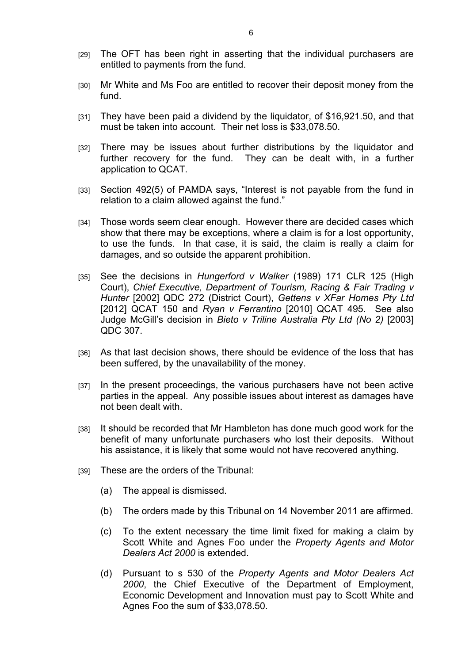- [29] The OFT has been right in asserting that the individual purchasers are entitled to payments from the fund.
- [30] Mr White and Ms Foo are entitled to recover their deposit money from the fund.
- [31] They have been paid a dividend by the liquidator, of \$16,921.50, and that must be taken into account. Their net loss is \$33,078.50.
- [32] There may be issues about further distributions by the liquidator and further recovery for the fund. They can be dealt with, in a further application to QCAT.
- [33] Section 492(5) of PAMDA says, "Interest is not payable from the fund in relation to a claim allowed against the fund."
- [34] Those words seem clear enough. However there are decided cases which show that there may be exceptions, where a claim is for a lost opportunity, to use the funds. In that case, it is said, the claim is really a claim for damages, and so outside the apparent prohibition.
- [35] See the decisions in *Hungerford v Walker* (1989) 171 CLR 125 (High Court), *Chief Executive, Department of Tourism, Racing & Fair Trading v Hunter* [2002] QDC 272 (District Court), *Gettens v XFar Homes Pty Ltd* [2012] QCAT 150 and *Ryan v Ferrantino* [2010] QCAT 495. See also Judge McGill's decision in *Bieto v Triline Australia Pty Ltd (No 2)* [2003] QDC 307.
- [36] As that last decision shows, there should be evidence of the loss that has been suffered, by the unavailability of the money.
- [37] In the present proceedings, the various purchasers have not been active parties in the appeal. Any possible issues about interest as damages have not been dealt with.
- [38] It should be recorded that Mr Hambleton has done much good work for the benefit of many unfortunate purchasers who lost their deposits. Without his assistance, it is likely that some would not have recovered anything.
- [39] These are the orders of the Tribunal:
	- (a) The appeal is dismissed.
	- (b) The orders made by this Tribunal on 14 November 2011 are affirmed.
	- (c) To the extent necessary the time limit fixed for making a claim by Scott White and Agnes Foo under the *Property Agents and Motor Dealers Act 2000* is extended.
	- (d) Pursuant to s 530 of the *Property Agents and Motor Dealers Act 2000*, the Chief Executive of the Department of Employment, Economic Development and Innovation must pay to Scott White and Agnes Foo the sum of \$33,078.50.